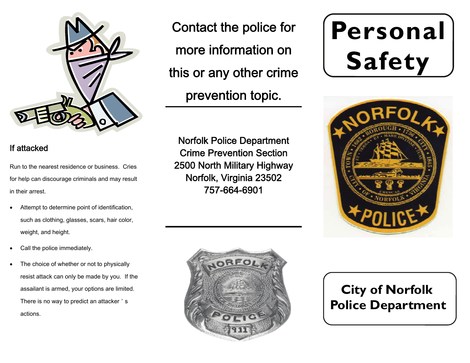

#### If attacked

Run to the nearest residence or business. Cries for help can discourage criminals and may result in their arrest.

- $\bullet$  Attempt to determine point of identification, such as clothing, glasses, scars, hair color, weight, and height.
- $\bullet$ Call the police immediately.
- $\bullet$  The choice of whether or not to physically resist attack can only be made by you. If the assailant is armed, your options are limited. There is no way to predict an attacker ' <sup>s</sup> actions.

Contact the police for more information on this or any other crime prevention topic.

Norfolk Police Department Crime Prevention Section 2500 North Military Highway Norfolk, Virginia 23502 757-664-6901

# **Personal Safety**





# **City of Norfolk Police Department**